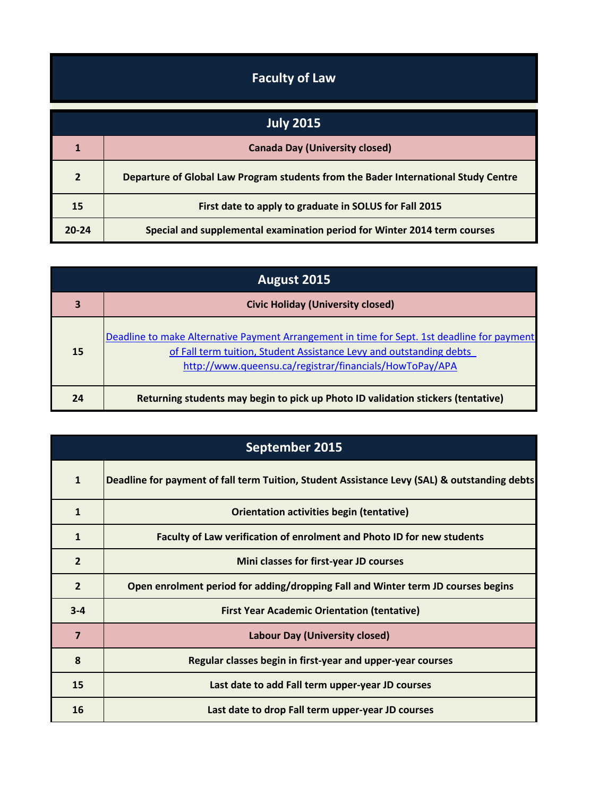## **Faculty of Law**

| <b>July 2015</b> |                                                                                    |
|------------------|------------------------------------------------------------------------------------|
|                  | <b>Canada Day (University closed)</b>                                              |
| $\overline{2}$   | Departure of Global Law Program students from the Bader International Study Centre |
| 15               | First date to apply to graduate in SOLUS for Fall 2015                             |
| $20 - 24$        | Special and supplemental examination period for Winter 2014 term courses           |

| August 2015 |                                                                                                                                                                                                                               |
|-------------|-------------------------------------------------------------------------------------------------------------------------------------------------------------------------------------------------------------------------------|
| 3           | <b>Civic Holiday (University closed)</b>                                                                                                                                                                                      |
| 15          | Deadline to make Alternative Payment Arrangement in time for Sept. 1st deadline for payment<br>of Fall term tuition, Student Assistance Levy and outstanding debts<br>http://www.queensu.ca/registrar/financials/HowToPay/APA |
| 24          | Returning students may begin to pick up Photo ID validation stickers (tentative)                                                                                                                                              |

| September 2015 |                                                                                              |
|----------------|----------------------------------------------------------------------------------------------|
| $\mathbf{1}$   | Deadline for payment of fall term Tuition, Student Assistance Levy (SAL) & outstanding debts |
| $\mathbf{1}$   | Orientation activities begin (tentative)                                                     |
| $\mathbf{1}$   | Faculty of Law verification of enrolment and Photo ID for new students                       |
| $\overline{2}$ | Mini classes for first-year JD courses                                                       |
| $\overline{2}$ | Open enrolment period for adding/dropping Fall and Winter term JD courses begins             |
| $3 - 4$        | <b>First Year Academic Orientation (tentative)</b>                                           |
| $\overline{7}$ | <b>Labour Day (University closed)</b>                                                        |
| 8              | Regular classes begin in first-year and upper-year courses                                   |
| 15             | Last date to add Fall term upper-year JD courses                                             |
| 16             | Last date to drop Fall term upper-year JD courses                                            |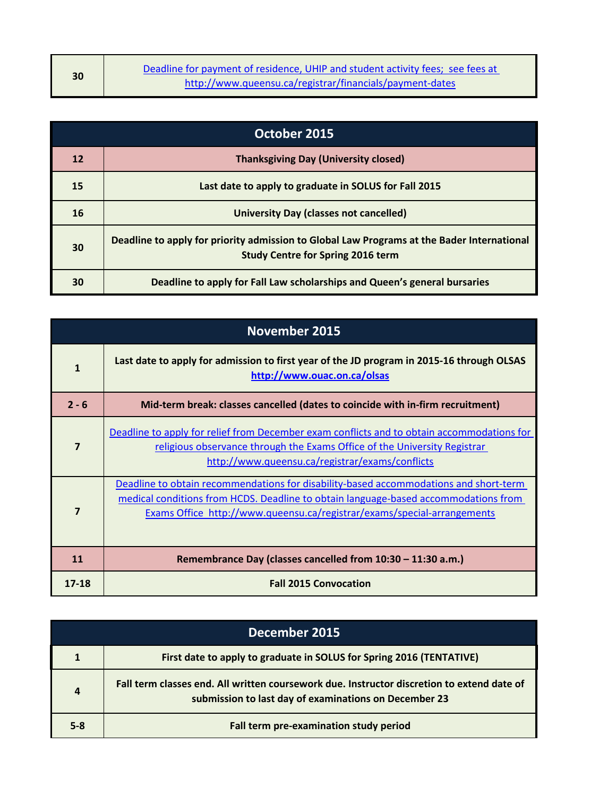| 30 | Deadline for payment of residence, UHIP and student activity fees; see fees at |
|----|--------------------------------------------------------------------------------|
|    | http://www.queensu.ca/registrar/financials/payment-dates                       |

| October 2015 |                                                                                                                                        |
|--------------|----------------------------------------------------------------------------------------------------------------------------------------|
| 12           | <b>Thanksgiving Day (University closed)</b>                                                                                            |
| 15           | Last date to apply to graduate in SOLUS for Fall 2015                                                                                  |
| 16           | <b>University Day (classes not cancelled)</b>                                                                                          |
| 30           | Deadline to apply for priority admission to Global Law Programs at the Bader International<br><b>Study Centre for Spring 2016 term</b> |
| 30           | Deadline to apply for Fall Law scholarships and Queen's general bursaries                                                              |

| <b>November 2015</b>    |                                                                                                                                                                                                                                                         |
|-------------------------|---------------------------------------------------------------------------------------------------------------------------------------------------------------------------------------------------------------------------------------------------------|
| $\mathbf{1}$            | Last date to apply for admission to first year of the JD program in 2015-16 through OLSAS<br>http://www.ouac.on.ca/olsas                                                                                                                                |
| $2 - 6$                 | Mid-term break: classes cancelled (dates to coincide with in-firm recruitment)                                                                                                                                                                          |
| $\overline{\mathbf{z}}$ | Deadline to apply for relief from December exam conflicts and to obtain accommodations for<br>religious observance through the Exams Office of the University Registrar<br>http://www.queensu.ca/registrar/exams/conflicts                              |
| 7                       | Deadline to obtain recommendations for disability-based accommodations and short-term<br>medical conditions from HCDS. Deadline to obtain language-based accommodations from<br>Exams Office http://www.queensu.ca/registrar/exams/special-arrangements |
| 11                      | Remembrance Day (classes cancelled from 10:30 - 11:30 a.m.)                                                                                                                                                                                             |
| 17-18                   | <b>Fall 2015 Convocation</b>                                                                                                                                                                                                                            |

| December 2015  |                                                                                                                                                     |
|----------------|-----------------------------------------------------------------------------------------------------------------------------------------------------|
|                | First date to apply to graduate in SOLUS for Spring 2016 (TENTATIVE)                                                                                |
| $\overline{a}$ | Fall term classes end. All written coursework due. Instructor discretion to extend date of<br>submission to last day of examinations on December 23 |
| $5 - 8$        | Fall term pre-examination study period                                                                                                              |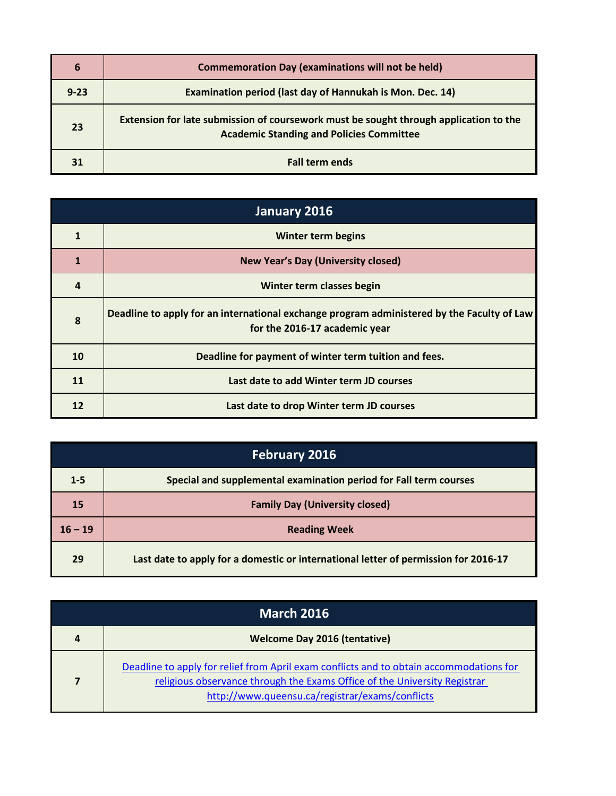| 6        | <b>Commemoration Day (examinations will not be held)</b>                                                                                 |
|----------|------------------------------------------------------------------------------------------------------------------------------------------|
| $9 - 23$ | Examination period (last day of Hannukah is Mon. Dec. 14)                                                                                |
| 23       | Extension for late submission of coursework must be sought through application to the<br><b>Academic Standing and Policies Committee</b> |
| 31       | <b>Fall term ends</b>                                                                                                                    |

| January 2016 |                                                                                                                             |
|--------------|-----------------------------------------------------------------------------------------------------------------------------|
|              | <b>Winter term begins</b>                                                                                                   |
| $\mathbf{1}$ | <b>New Year's Day (University closed)</b>                                                                                   |
| 4            | Winter term classes begin                                                                                                   |
| 8            | Deadline to apply for an international exchange program administered by the Faculty of Law<br>for the 2016-17 academic year |
| 10           | Deadline for payment of winter term tuition and fees.                                                                       |
| 11           | Last date to add Winter term JD courses                                                                                     |
| 12           | Last date to drop Winter term JD courses                                                                                    |

| <b>February 2016</b> |                                                                                     |
|----------------------|-------------------------------------------------------------------------------------|
| $1 - 5$              | Special and supplemental examination period for Fall term courses                   |
| 15                   | <b>Family Day (University closed)</b>                                               |
| $16 - 19$            | <b>Reading Week</b>                                                                 |
| 29                   | Last date to apply for a domestic or international letter of permission for 2016-17 |

| <b>March 2016</b> |                                                                                                                                                                                                                         |
|-------------------|-------------------------------------------------------------------------------------------------------------------------------------------------------------------------------------------------------------------------|
| 4                 | <b>Welcome Day 2016 (tentative)</b>                                                                                                                                                                                     |
| 7                 | Deadline to apply for relief from April exam conflicts and to obtain accommodations for<br>religious observance through the Exams Office of the University Registrar<br>http://www.gueensu.ca/registrar/exams/conflicts |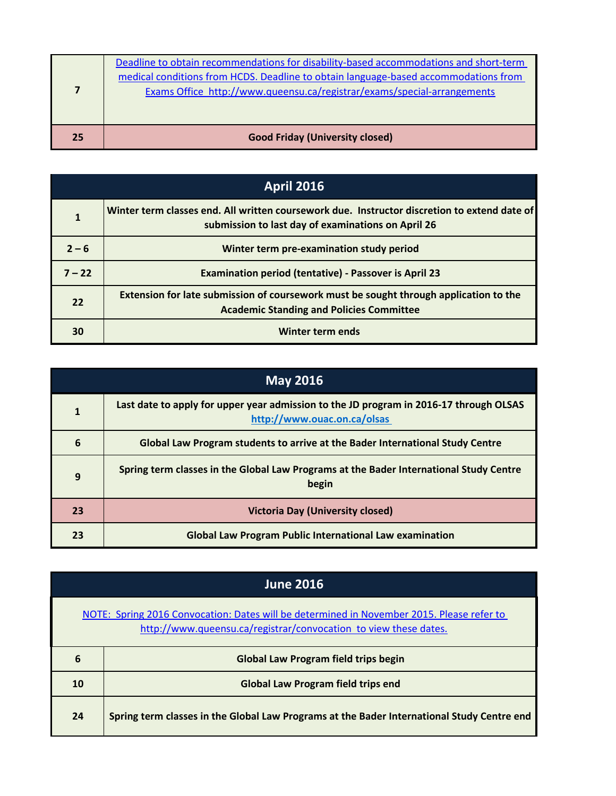|    | Deadline to obtain recommendations for disability-based accommodations and short-term<br>medical conditions from HCDS. Deadline to obtain language-based accommodations from<br>Exams Office http://www.queensu.ca/registrar/exams/special-arrangements |
|----|---------------------------------------------------------------------------------------------------------------------------------------------------------------------------------------------------------------------------------------------------------|
| 25 | <b>Good Friday (University closed)</b>                                                                                                                                                                                                                  |

| <b>April 2016</b> |                                                                                                                                                    |  |
|-------------------|----------------------------------------------------------------------------------------------------------------------------------------------------|--|
| 1                 | Winter term classes end. All written coursework due. Instructor discretion to extend date of<br>submission to last day of examinations on April 26 |  |
| $2 - 6$           | Winter term pre-examination study period                                                                                                           |  |
| $7 - 22$          | <b>Examination period (tentative) - Passover is April 23</b>                                                                                       |  |
| 22                | Extension for late submission of coursework must be sought through application to the<br><b>Academic Standing and Policies Committee</b>           |  |
| 30                | Winter term ends                                                                                                                                   |  |

| <b>May 2016</b> |                                                                                                                       |  |
|-----------------|-----------------------------------------------------------------------------------------------------------------------|--|
| $\mathbf{1}$    | Last date to apply for upper year admission to the JD program in 2016-17 through OLSAS<br>http://www.ouac.on.ca/olsas |  |
| 6               | Global Law Program students to arrive at the Bader International Study Centre                                         |  |
| 9               | Spring term classes in the Global Law Programs at the Bader International Study Centre<br>begin                       |  |
| 23              | <b>Victoria Day (University closed)</b>                                                                               |  |
| 23              | <b>Global Law Program Public International Law examination</b>                                                        |  |

| <b>June 2016</b>                                                                                                                                              |                                                                                            |  |
|---------------------------------------------------------------------------------------------------------------------------------------------------------------|--------------------------------------------------------------------------------------------|--|
| NOTE: Spring 2016 Convocation: Dates will be determined in November 2015. Please refer to<br>http://www.queensu.ca/registrar/convocation to view these dates. |                                                                                            |  |
| 6                                                                                                                                                             | Global Law Program field trips begin                                                       |  |
| 10                                                                                                                                                            | <b>Global Law Program field trips end</b>                                                  |  |
| 24                                                                                                                                                            | Spring term classes in the Global Law Programs at the Bader International Study Centre end |  |